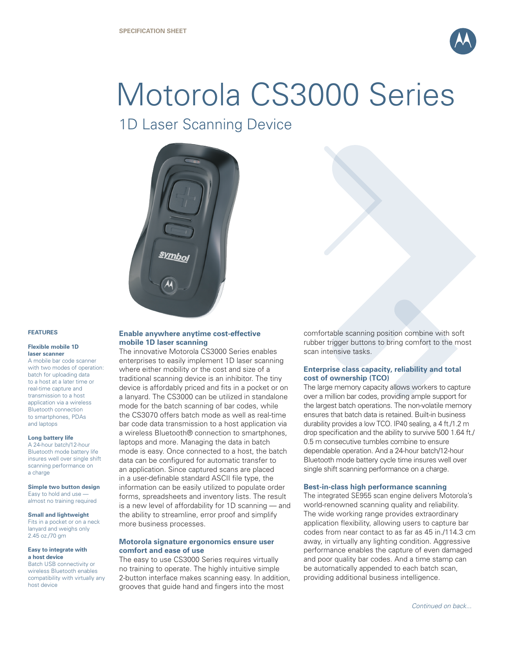

# Motorola CS3000 Series

1D Laser Scanning Device



#### **FEATURES**

#### **Flexible mobile 1D laser scanner**

A mobile bar code scanner with two modes of operation: batch for uploading data to a host at a later time or real-time capture and transmission to a host application via a wireless Bluetooth connection to smartphones, PDAs and laptops

#### **Long battery life**

A 24-hour batch/12-hour Bluetooth mode battery life insures well over single shift scanning performance on a charge

#### **Simple two button design**

Easy to hold and use almost no training required

#### **Small and lightweight**

Fits in a pocket or on a neck lanyard and weighs only 2.45 oz./70 gm

#### **Easy to integrate with a host device**

Batch USB connectivity or wireless Bluetooth enables compatibility with virtually any host device

# **Enable anywhere anytime cost-effective mobile 1D laser scanning**

The innovative Motorola CS3000 Series enables enterprises to easily implement 1D laser scanning where either mobility or the cost and size of a traditional scanning device is an inhibitor. The tiny device is affordably priced and fits in a pocket or on a lanyard. The CS3000 can be utilized in standalone mode for the batch scanning of bar codes, while the CS3070 offers batch mode as well as real-time bar code data transmission to a host application via a wireless Bluetooth® connection to smartphones, laptops and more. Managing the data in batch mode is easy. Once connected to a host, the batch data can be configured for automatic transfer to an application. Since captured scans are placed in a user-definable standard ASCII file type, the information can be easily utilized to populate order forms, spreadsheets and inventory lists. The result is a new level of affordability for 1D scanning — and the ability to streamline, error proof and simplify more business processes.

#### **Motorola signature ergonomics ensure user comfort and ease of use**

The easy to use CS3000 Series requires virtually no training to operate. The highly intuitive simple 2-button interface makes scanning easy. In addition, grooves that guide hand and fingers into the most

comfortable scanning position combine with soft rubber trigger buttons to bring comfort to the most scan intensive tasks.

## **Enterprise class capacity, reliability and total cost of ownership (TCO)**

The large memory capacity allows workers to capture over a million bar codes, providing ample support for the largest batch operations. The non-volatile memory ensures that batch data is retained. Built-in business durability provides a low TCO. IP40 sealing, a 4 ft./1.2 m drop specification and the ability to survive 500 1.64 ft./ 0.5 m consecutive tumbles combine to ensure dependable operation. And a 24-hour batch/12-hour Bluetooth mode battery cycle time insures well over single shift scanning performance on a charge.

## **Best-in-class high performance scanning**

The integrated SE955 scan engine delivers Motorola's world-renowned scanning quality and reliability. The wide working range provides extraordinary application flexibility, allowing users to capture bar codes from near contact to as far as 45 in./114.3 cm away, in virtually any lighting condition. Aggressive performance enables the capture of even damaged and poor quality bar codes. And a time stamp can be automatically appended to each batch scan, providing additional business intelligence.